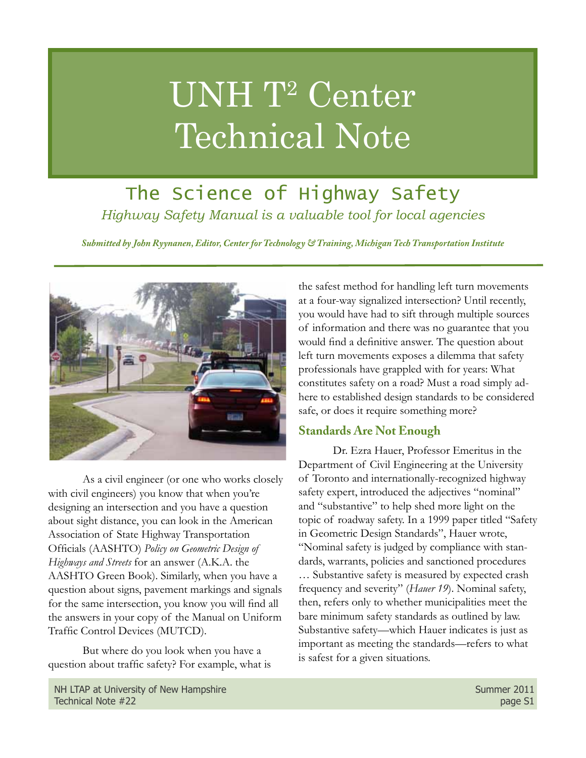# UNH T2 Center Technical Note

# The Science of Highway Safety *Highway Safety Manual is a valuable tool for local agencies*

*Submitted by John Ryynanen, Editor, Center for Technology & Training, Michigan Tech Transportation Institute*



As a civil engineer (or one who works closely with civil engineers) you know that when you're designing an intersection and you have a question about sight distance, you can look in the American Association of State Highway Transportation Officials (AASHTO) *Policy on Geometric Design of Highways and Streets* for an answer (A.K.A. the AASHTO Green Book). Similarly, when you have a question about signs, pavement markings and signals for the same intersection, you know you will find all the answers in your copy of the Manual on Uniform Traffic Control Devices (MUTCD).

But where do you look when you have a question about traffic safety? For example, what is

the safest method for handling left turn movements at a four-way signalized intersection? Until recently, you would have had to sift through multiple sources of information and there was no guarantee that you would find a definitive answer. The question about left turn movements exposes a dilemma that safety professionals have grappled with for years: What constitutes safety on a road? Must a road simply adhere to established design standards to be considered safe, or does it require something more?

## **Standards Are Not Enough**

Dr. Ezra Hauer, Professor Emeritus in the Department of Civil Engineering at the University of Toronto and internationally-recognized highway safety expert, introduced the adjectives "nominal" and "substantive" to help shed more light on the topic of roadway safety. In a 1999 paper titled "Safety in Geometric Design Standards", Hauer wrote, "Nominal safety is judged by compliance with standards, warrants, policies and sanctioned procedures … Substantive safety is measured by expected crash frequency and severity" (*Hauer 19*). Nominal safety, then, refers only to whether municipalities meet the bare minimum safety standards as outlined by law. Substantive safety—which Hauer indicates is just as important as meeting the standards—refers to what is safest for a given situations.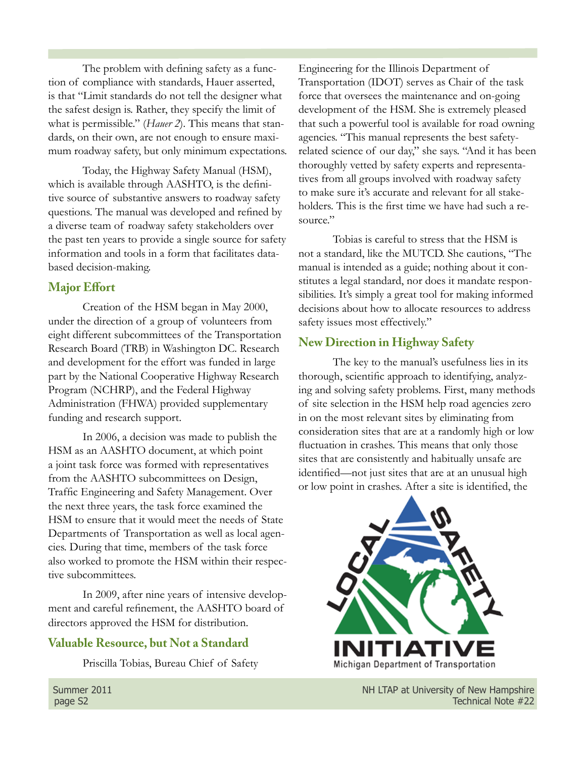The problem with defining safety as a function of compliance with standards, Hauer asserted, is that "Limit standards do not tell the designer what the safest design is. Rather, they specify the limit of what is permissible." (*Hauer 2*). This means that standards, on their own, are not enough to ensure maximum roadway safety, but only minimum expectations.

Today, the Highway Safety Manual (HSM), which is available through AASHTO, is the definitive source of substantive answers to roadway safety questions. The manual was developed and refined by a diverse team of roadway safety stakeholders over the past ten years to provide a single source for safety information and tools in a form that facilitates databased decision-making.

#### **Major Effort**

Creation of the HSM began in May 2000, under the direction of a group of volunteers from eight different subcommittees of the Transportation Research Board (TRB) in Washington DC. Research and development for the effort was funded in large part by the National Cooperative Highway Research Program (NCHRP), and the Federal Highway Administration (FHWA) provided supplementary funding and research support.

In 2006, a decision was made to publish the HSM as an AASHTO document, at which point a joint task force was formed with representatives from the AASHTO subcommittees on Design, Traffic Engineering and Safety Management. Over the next three years, the task force examined the HSM to ensure that it would meet the needs of State Departments of Transportation as well as local agencies. During that time, members of the task force also worked to promote the HSM within their respective subcommittees.

In 2009, after nine years of intensive development and careful refinement, the AASHTO board of directors approved the HSM for distribution.

#### **Valuable Resource, but Not a Standard**

Priscilla Tobias, Bureau Chief of Safety

Engineering for the Illinois Department of Transportation (IDOT) serves as Chair of the task force that oversees the maintenance and on-going development of the HSM. She is extremely pleased that such a powerful tool is available for road owning agencies. "This manual represents the best safetyrelated science of our day," she says. "And it has been thoroughly vetted by safety experts and representatives from all groups involved with roadway safety to make sure it's accurate and relevant for all stakeholders. This is the first time we have had such a resource."

Tobias is careful to stress that the HSM is not a standard, like the MUTCD. She cautions, "The manual is intended as a guide; nothing about it constitutes a legal standard, nor does it mandate responsibilities. It's simply a great tool for making informed decisions about how to allocate resources to address safety issues most effectively."

#### **New Direction in Highway Safety**

The key to the manual's usefulness lies in its thorough, scientific approach to identifying, analyzing and solving safety problems. First, many methods of site selection in the HSM help road agencies zero in on the most relevant sites by eliminating from consideration sites that are at a randomly high or low fluctuation in crashes. This means that only those sites that are consistently and habitually unsafe are identified—not just sites that are at an unusual high or low point in crashes. After a site is identified, the



Summer 2011 **Summer 2011** All the University of New Hampshire page S2 Technical Note #22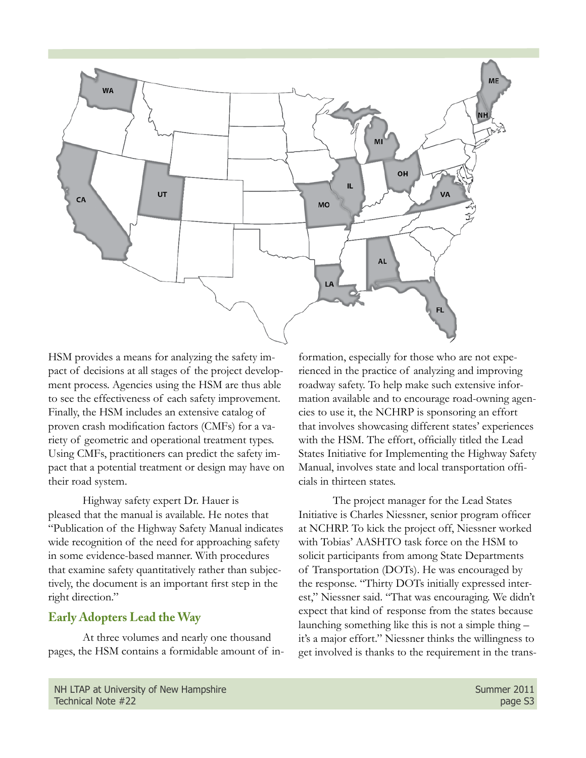

HSM provides a means for analyzing the safety impact of decisions at all stages of the project development process. Agencies using the HSM are thus able to see the effectiveness of each safety improvement. Finally, the HSM includes an extensive catalog of proven crash modification factors (CMFs) for a variety of geometric and operational treatment types. Using CMFs, practitioners can predict the safety impact that a potential treatment or design may have on their road system.

Highway safety expert Dr. Hauer is pleased that the manual is available. He notes that "Publication of the Highway Safety Manual indicates wide recognition of the need for approaching safety in some evidence-based manner. With procedures that examine safety quantitatively rather than subjectively, the document is an important first step in the right direction."

#### **Early Adopters Lead the Way**

At three volumes and nearly one thousand pages, the HSM contains a formidable amount of information, especially for those who are not experienced in the practice of analyzing and improving roadway safety. To help make such extensive information available and to encourage road-owning agencies to use it, the NCHRP is sponsoring an effort that involves showcasing different states' experiences with the HSM. The effort, officially titled the Lead States Initiative for Implementing the Highway Safety Manual, involves state and local transportation officials in thirteen states.

The project manager for the Lead States Initiative is Charles Niessner, senior program officer at NCHRP. To kick the project off, Niessner worked with Tobias' AASHTO task force on the HSM to solicit participants from among State Departments of Transportation (DOTs). He was encouraged by the response. "Thirty DOTs initially expressed interest," Niessner said. "That was encouraging. We didn't expect that kind of response from the states because launching something like this is not a simple thing – it's a major effort." Niessner thinks the willingness to get involved is thanks to the requirement in the trans